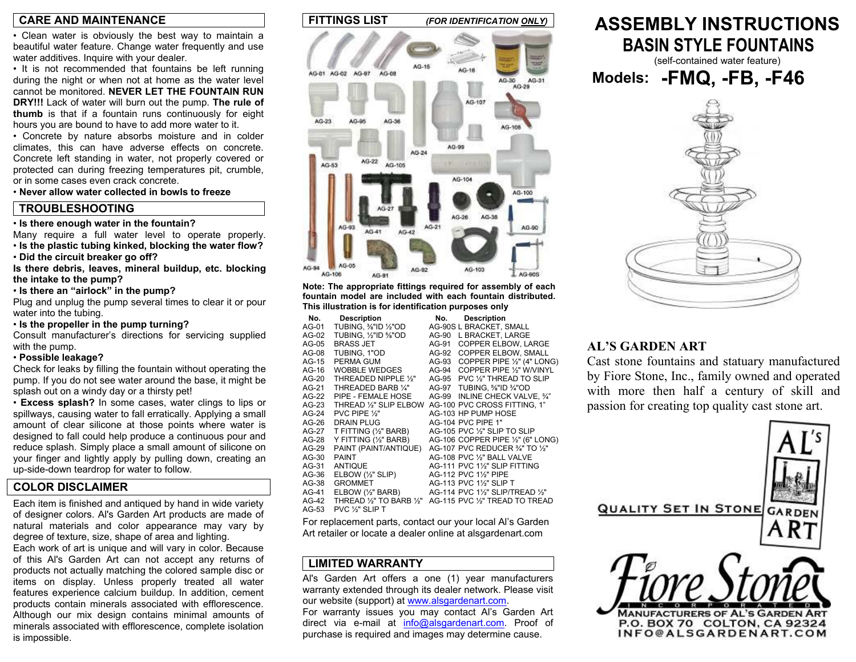#### **CARE AND MAINTENANCE**

• Clean water is obviously the best way to maintain a beautiful water feature. Change water frequently and use water additives. Inquire with your dealer.

• It is not recommended that fountains be left running during the night or when not at home as the water level cannot be monitored. **NEVER LET THE FOUNTAIN RUN DRY!!!** Lack of water will burn out the pump. **The rule of thumb** is that if a fountain runs continuously for eight hours you are bound to have to add more water to it.

• Concrete by nature absorbs moisture and in colder climates, this can have adverse effects on concrete. Concrete left standing in water, not properly covered or protected can during freezing temperatures pit, crumble, or in some cases even crack concrete.

• **Never allow water collected in bowls to freeze**

### **TROUBLESHOOTING**

• **Is there enough water in the fountain?** 

Many require a full water level to operate properly. • **Is the plastic tubing kinked, blocking the water flow?** 

• **Did the circuit breaker go off?** 

**Is there debris, leaves, mineral buildup, etc. blocking the intake to the pump?** 

• **Is there an "airlock" in the pump?** 

Plug and unplug the pump several times to clear it or pour water into the tubing.

• **Is the propeller in the pump turning?** 

Consult manufacturer's directions for servicing supplied with the pump.

#### • **Possible leakage?**

Check for leaks by filling the fountain without operating the pump. If you do not see water around the base, it might be splash out on a windy day or a thirsty pet!

• **Excess splash?** In some cases, water clings to lips or spillways, causing water to fall erratically. Applying a small amount of clear silicone at those points where water is designed to fall could help produce a continuous pour and reduce splash. Simply place a small amount of silicone on your finger and lightly apply by pulling down, creating an up-side-down teardrop for water to follow.

### **COLOR DISCLAIMER**

Each item is finished and antiqued by hand in wide variety of designer colors. Al's Garden Art products are made of natural materials and color appearance may vary by degree of texture, size, shape of area and lighting.

Each work of art is unique and will vary in color. Because of this Al's Garden Art can not accept any returns of products not actually matching the colored sample disc or items on display. Unless properly treated all water features experience calcium buildup. In addition, cement products contain minerals associated with efflorescence. Although our mix design contains minimal amounts of minerals associated with efflorescence, complete isolation is impossible.



**Note: The appropriate fittings required for assembly of each fountain model are included with each fountain distributed. This illustration is for identification purposes only** 

| No.     | <b>Description</b>           | No.   | <b>Description</b>                |
|---------|------------------------------|-------|-----------------------------------|
| AG-01   | TUBING, %"ID 1/2"OD          |       | AG-90S L BRACKET, SMALL           |
| AG-02   | TUBING. 1/2"ID 5/8"OD        | AG-90 | L BRACKET. LARGE                  |
| $AG-05$ | <b>BRASS JET</b>             | AG-91 | COPPER ELBOW, LARGE               |
| AG-08   | TUBING, 1"OD                 | AG-92 | <b>COPPER ELBOW, SMALL</b>        |
| AG-15   | PERMA GUM                    | AG-93 | COPPER PIPE 1/2" (4" LONG)        |
| AG-16   | WOBBLE WEDGES                | AG-94 | COPPER PIPE 1/2" W/VINYL          |
| $AG-20$ | THREADED NIPPLE 1/3"         | AG-95 | PVC 1/2" THREAD TO SLIP           |
| AG-21   | THREADED BARB 1/4"           | AG-97 | TUBING, %"ID %"OD                 |
| AG-22   | PIPE - FEMALE HOSE           | AG-99 | INLINE CHECK VALVE, 3/4"          |
| AG-23   | THREAD 1/2" SLIP ELBOW       |       | AG-100 PVC CROSS FITTING, 1"      |
| $AG-24$ | PVC PIPE 1/2"                |       | AG-103 HP PUMP HOSE               |
| AG-26   | <b>DRAIN PLUG</b>            |       | AG-104 PVC PIPE 1"                |
| AG-27   | T FITTING (1/2" BARB)        |       | AG-105 PVC 1/2" SLIP TO SLIP      |
| AG-28   | Y FITTING (1/2" BARB)        |       | AG-106 COPPER PIPE 1/2" (6" LONG) |
| $AG-29$ | PAINT (PAINT/ANTIQUE)        |       | AG-107 PVC REDUCER 3/4" TO 1/2"   |
| AG-30   | <b>PAINT</b>                 |       | AG-108 PVC 1/2" BALL VALVE        |
| AG-31   | <b>ANTIQUE</b>               |       | AG-111 PVC 11/2" SLIP FITTING     |
| AG-36   | ELBOW $(\frac{1}{2}$ " SLIP) |       | AG-112 PVC 11/2" PIPE             |
| $AG-38$ | <b>GROMMET</b>               |       | AG-113 PVC 11/2" SLIP T           |
| AG-41   | ELBOW $(\frac{1}{2}$ " BARB) |       | AG-114 PVC 11/2" SLIP/TREAD 1/2"  |
| $AG-42$ | THREAD 1/2" TO BARB 1/2"     |       | AG-115 PVC 1/2" TREAD TO TREAD    |
| AG-53   | PVC ½" SLIP T                |       |                                   |

For replacement parts, contact our your local Al's Garden Art retailer or locate a dealer online at alsgardenart.com

## **LIMITED WARRANTY**

Al's Garden Art offers a one (1) year manufacturers warranty extended through its dealer network. Please visit our website (support) at www.alsgardenart.com. For warranty issues you may contact Al's Garden Art direct via e-mail at info@alsgardenart.com. Proof of purchase is required and images may determine cause.

# **ASSEMBLY INSTRUCTIONS BASIN STYLE FOUNTAINS**

(self-contained water feature)



## **AL'S GARDEN ART**

Cast stone fountains and statuary manufacture d by Fiore Stone, Inc., family owned and operate d with more then half a century of skill an dpassion for creating top quality cast stone art.

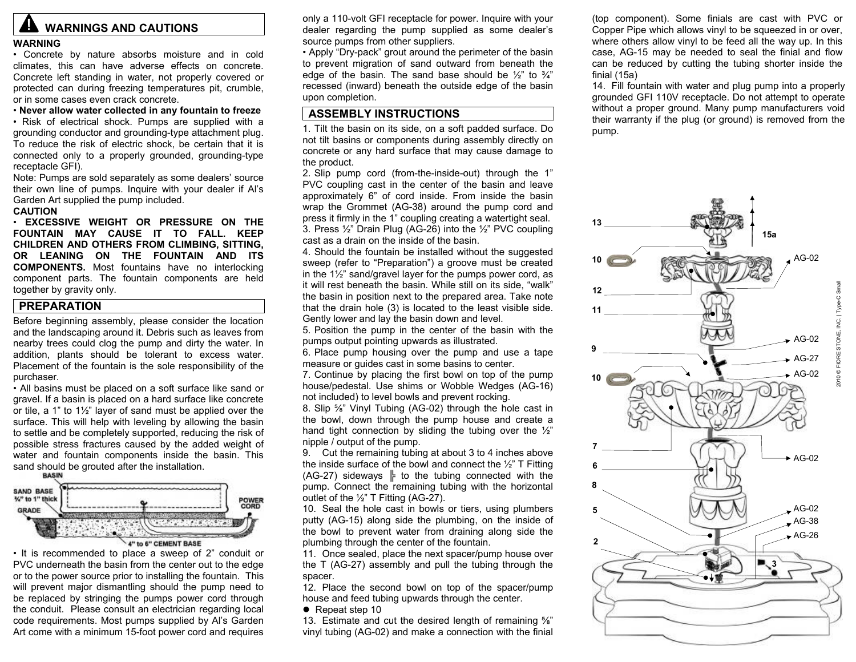# **ALL WARNINGS AND CAUTIONS**

#### **WARNING**

• Concrete by nature absorbs moisture and in cold climates, this can have adverse effects on concrete. Concrete left standing in water, not properly covered or protected can during freezing temperatures pit, crumble, or in some cases even crack concrete.

• **Never allow water collected in any fountain to freeze**  • Risk of electrical shock. Pumps are supplied with a grounding conductor and grounding-type attachment plug. To reduce the risk of electric shock, be certain that it is connected only to a properly grounded, grounding-type receptacle GFI).

Note: Pumps are sold separately as some dealers' source their own line of pumps. Inquire with your dealer if Al's Garden Art supplied the pump included.

#### **CAUTION**

• **EXCESSIVE WEIGHT OR PRESSURE ON THE FOUNTAIN MAY CAUSE IT TO FALL. KEEP CHILDREN AND OTHERS FROM CLIMBING, SITTING, OR LEANING ON THE FOUNTAIN AND ITS COMPONENTS.** Most fountains have no interlocking component parts. The fountain components are held together by gravity only.

## **PREPARATION**

Before beginning assembly, please consider the location and the landscaping around it. Debris such as leaves from nearby trees could clog the pump and dirty the water. In addition, plants should be tolerant to excess water. Placement of the fountain is the sole responsibility of the purchaser.

• All basins must be placed on a soft surface like sand or gravel. If a basin is placed on a hard surface like concrete or tile, a 1" to 1½" layer of sand must be applied over the surface. This will help with leveling by allowing the basin to settle and be completely supported, reducing the risk of possible stress fractures caused by the added weight of water and fountain components inside the basin. This sand should be grouted after the installation.



• It is recommended to place a sweep of 2" conduit or PVC underneath the basin from the center out to the edge or to the power source prior to installing the fountain. This will prevent major dismantling should the pump need to be replaced by stringing the pumps power cord through the conduit. Please consult an electrician regarding local code requirements. Most pumps supplied by Al's Garden Art come with a minimum 15-foot power cord and requires

only a 110-volt GFI receptacle for power. Inquire with your dealer regarding the pump supplied as some dealer's source pumps from other suppliers.

• Apply "Dry-pack" grout around the perimeter of the basin to prevent migration of sand outward from beneath the edge of the basin. The sand base should be  $\frac{1}{2}$ " to  $\frac{3}{4}$ " recessed (inward) beneath the outside edge of the basin upon completion.

## **ASSEMBLY INSTRUCTIONS**

1. Tilt the basin on its side, on a soft padded surface. Do not tilt basins or components during assembly directly on concrete or any hard surface that may cause damage to the product.

2. Slip pump cord (from-the-inside-out) through the 1" PVC coupling cast in the center of the basin and leave approximately 6" of cord inside. From inside the basin wrap the Grommet (AG-38) around the pump cord and press it firmly in the 1" coupling creating a watertight seal. 3. Press ½" Drain Plug (AG-26) into the ½" PVC coupling cast as a drain on the inside of the basin.

4. Should the fountain be installed without the suggested sweep (refer to "Preparation") a groove must be created in the 1½" sand/gravel layer for the pumps power cord, as it will rest beneath the basin. While still on its side, "walk" the basin in position next to the prepared area. Take note that the drain hole (3) is located to the least visible side. Gently lower and lay the basin down and level.

5. Position the pump in the center of the basin with the pumps output pointing upwards as illustrated.

6. Place pump housing over the pump and use a tape measure or guides cast in some basins to center.

7. Continue by placing the first bowl on top of the pump house/pedestal. Use shims or Wobble Wedges (AG-16) not included) to level bowls and prevent rocking.

8. Slip ⅝" Vinyl Tubing (AG-02) through the hole cast in the bowl, down through the pump house and create a hand tight connection by sliding the tubing over the 1/2" nipple / output of the pump.

9. Cut the remaining tubing at about 3 to 4 inches above the inside surface of the bowl and connect the  $\frac{1}{2}$ " T Fitting (AG-27) sideways  $\parallel$  to the tubing connected with the pump. Connect the remaining tubing with the horizontal outlet of the ½" T Fitting (AG-27).

10. Seal the hole cast in bowls or tiers, using plumbers putty (AG-15) along side the plumbing, on the inside of the bowl to prevent water from draining along side the plumbing through the center of the fountain.

11. Once sealed, place the next spacer/pump house over the T (AG-27) assembly and pull the tubing through the spacer.

12. Place the second bowl on top of the spacer/pump house and feed tubing upwards through the center.

 $\bullet$  Repeat step 10

13. Estimate and cut the desired length of remaining ⅝" vinyl tubing (AG-02) and make a connection with the finial

(top component). Some finials are cast with PVC or Copper Pipe which allows vinyl to be squeezed in or over, where others allow vinyl to be feed all the way up. In this case, AG-15 may be needed to seal the finial and flow can be reduced by cutting the tubing shorter inside the finial (15a)

14. Fill fountain with water and plug pump into a properly grounded GFI 110V receptacle. Do not attempt to operate without a proper ground. Many pump manufacturers void their warranty if the plug (or ground) is removed from the pump.

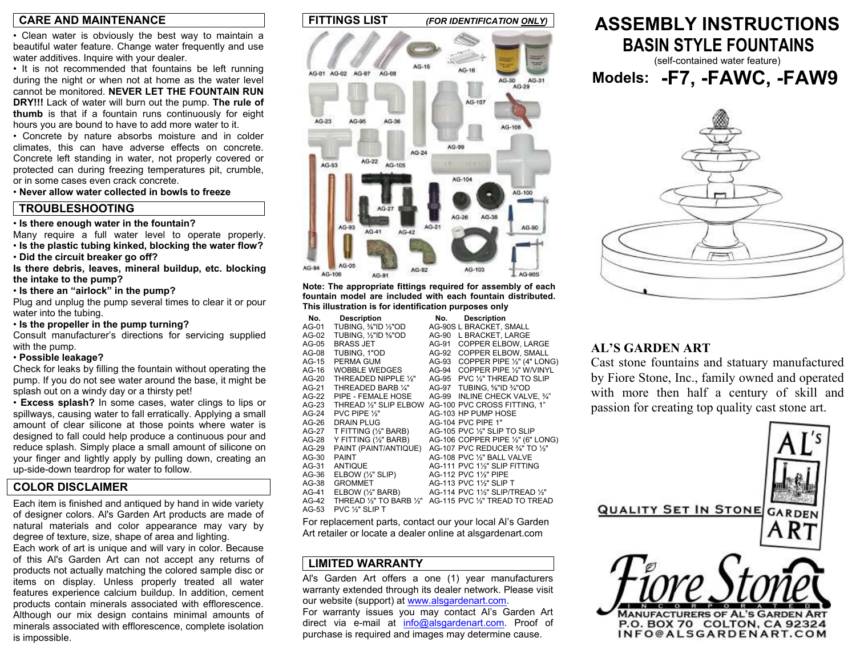#### **CARE AND MAINTENANCE**

• Clean water is obviously the best way to maintain a beautiful water feature. Change water frequently and use water additives. Inquire with your dealer.

• It is not recommended that fountains be left running during the night or when not at home as the water level cannot be monitored. **NEVER LET THE FOUNTAIN RUN DRY!!!** Lack of water will burn out the pump. **The rule of thumb** is that if a fountain runs continuously for eight hours you are bound to have to add more water to it.

• Concrete by nature absorbs moisture and in colder climates, this can have adverse effects on concrete. Concrete left standing in water, not properly covered or protected can during freezing temperatures pit, crumble, or in some cases even crack concrete.

• **Never allow water collected in bowls to freeze**

### **TROUBLESHOOTING**

#### • **Is there enough water in the fountain?**

Many require a full water level to operate properly. • **Is the plastic tubing kinked, blocking the water flow?** 

• **Did the circuit breaker go off?** 

**Is there debris, leaves, mineral buildup, etc. blocking the intake to the pump?** 

• **Is there an "airlock" in the pump?** 

Plug and unplug the pump several times to clear it or pour water into the tubing.

• **Is the propeller in the pump turning?** 

Consult manufacturer's directions for servicing supplied with the pump.

#### • **Possible leakage?**

Check for leaks by filling the fountain without operating the pump. If you do not see water around the base, it might be splash out on a windy day or a thirsty pet!

• **Excess splash?** In some cases, water clings to lips or spillways, causing water to fall erratically. Applying a small amount of clear silicone at those points where water is designed to fall could help produce a continuous pour and reduce splash. Simply place a small amount of silicone on your finger and lightly apply by pulling down, creating an up-side-down teardrop for water to follow.

### **COLOR DISCLAIMER**

Each item is finished and antiqued by hand in wide variety of designer colors. Al's Garden Art products are made of natural materials and color appearance may vary by degree of texture, size, shape of area and lighting.

Each work of art is unique and will vary in color. Because of this Al's Garden Art can not accept any returns of products not actually matching the colored sample disc or items on display. Unless properly treated all water features experience calcium buildup. In addition, cement products contain minerals associated with efflorescence. Although our mix design contains minimal amounts of minerals associated with efflorescence, complete isolation is impossible.



**Note: The appropriate fittings required for assembly of each fountain model are included with each fountain distributed. This illustration is for identification purposes only** 

| No.     | <b>Description</b>              | No.   | <b>Description</b>                |
|---------|---------------------------------|-------|-----------------------------------|
| AG-01   | TUBING, %"ID ½"OD               |       | AG-90S L BRACKET, SMALL           |
| AG-02   | TUBING, 1/2"ID %"OD             | AG-90 | L BRACKET. LARGE                  |
| $AG-05$ | <b>BRASS JET</b>                | AG-91 | <b>COPPER ELBOW. LARGE</b>        |
| AG-08   | TUBING, 1"OD                    | AG-92 | COPPER ELBOW, SMALL               |
| $AG-15$ | PERMA GUM                       | AG-93 | COPPER PIPE 1/2" (4" LONG)        |
| AG-16   | <b>WOBBLE WEDGES</b>            | AG-94 | COPPER PIPE 1/2" W/VINYL          |
| $AG-20$ | THREADED NIPPLE 1/3"            | AG-95 | PVC 1/2" THREAD TO SLIP           |
| AG-21   | THREADED BARB 1/4"              | AG-97 | TUBING, %"ID %"OD                 |
| $AG-22$ | PIPE - FEMALE HOSE              | AG-99 | INLINE CHECK VALVE. 3/4"          |
| $AG-23$ | THREAD 1/2" SLIP ELBOW          |       | AG-100 PVC CROSS FITTING, 1"      |
| $AG-24$ | PVC PIPE 1/2"                   |       | AG-103 HP PUMP HOSE               |
| $AG-26$ | DRAIN PLUG                      |       | AG-104 PVC PIPE 1"                |
| AG-27   | T FITTING (1/2" BARB)           |       | AG-105 PVC 1/2" SLIP TO SLIP      |
| AG-28   | Y FITTING (1/2" BARB)           |       | AG-106 COPPER PIPE 1/2" (6" LONG) |
| $AG-29$ | PAINT (PAINT/ANTIQUE)           |       | AG-107 PVC REDUCER 3/4" TO 1/2"   |
| AG-30   | <b>PAINT</b>                    |       | AG-108 PVC 1/2" BALL VALVE        |
| AG-31   | <b>ANTIQUE</b>                  |       | AG-111 PVC 1½" SLIP FITTING       |
| AG-36   | $E$ LBOW $(\frac{1}{2}$ " SLIP) |       | AG-112 PVC 1½" PIPE               |
| AG-38   | <b>GROMMET</b>                  |       | AG-113 PVC 11/2" SLIP T           |
| $AG-41$ | $E$ LBOW $(\frac{1}{2}$ " BARB) |       | AG-114 PVC 1½" SLIP/TREAD 1⁄2"    |
| $AG-42$ | THREAD 1/2" TO BARB 1/3"        |       | AG-115 PVC 1/3" TREAD TO TREAD    |
| AG-53   | PVC 1/2" SLIP T                 |       |                                   |

For replacement parts, contact our your local Al's Garden Art retailer or locate a dealer online at alsgardenart.com

## **LIMITED WARRANTY**

Al's Garden Art offers a one (1) year manufacturers warranty extended through its dealer network. Please visit our website (support) at www.alsgardenart.com. For warranty issues you may contact Al's Garden Art direct via e-mail at info@alsgardenart.com. Proof of purchase is required and images may determine cause.

# **ASSEMBLY INSTRUCTIONS BASIN STYLE FOUNTAINS**

(self-contained water feature) **Models: -F7, -FAWC, -FAW9** 



## **AL'S GARDEN ART**

Cast stone fountains and statuary manufacture d by Fiore Stone, Inc., family owned and operate d with more then half a century of skill an dpassion for creating top quality cast stone art.